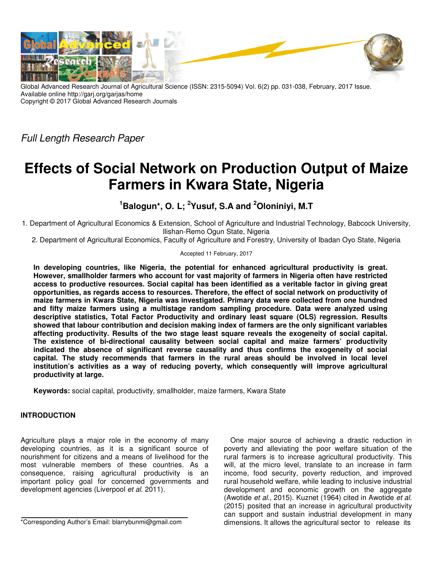

Global Advanced Research Journal of Agricultural Science (ISSN: 2315-5094) Vol. 6(2) pp. 031-038, February, 2017 Issue. Available online http://garj.org/garjas/home Copyright © 2017 Global Advanced Research Journals

Full Length Research Paper

# **Effects of Social Network on Production Output of Maize Farmers in Kwara State, Nigeria**

**<sup>1</sup>Balogun\*, O. L; <sup>2</sup>Yusuf, S.A and <sup>2</sup>Oloniniyi, M.T** 

1. Department of Agricultural Economics & Extension, School of Agriculture and Industrial Technology, Babcock University, Ilishan-Remo Ogun State, Nigeria

2. Department of Agricultural Economics, Faculty of Agriculture and Forestry, University of Ibadan Oyo State, Nigeria

# Accepted 11 February, 2017

**In developing countries, like Nigeria, the potential for enhanced agricultural productivity is great. However, smallholder farmers who account for vast majority of farmers in Nigeria often have restricted access to productive resources. Social capital has been identified as a veritable factor in giving great opportunities, as regards access to resources. Therefore, the effect of social network on productivity of maize farmers in Kwara State, Nigeria was investigated. Primary data were collected from one hundred and fifty maize farmers using a multistage random sampling procedure. Data were analyzed using descriptive statistics, Total Factor Productivity and ordinary least square (OLS) regression. Results showed that labour contribution and decision making index of farmers are the only significant variables affecting productivity. Results of the two stage least square reveals the exogeneity of social capital. The existence of bi-directional causality between social capital and maize farmers' productivity indicated the absence of significant reverse causality and thus confirms the exogeneity of social capital. The study recommends that farmers in the rural areas should be involved in local level institution's activities as a way of reducing poverty, which consequently will improve agricultural productivity at large.** 

**Keywords:** social capital, productivity, smallholder, maize farmers, Kwara State

# **INTRODUCTION**

Agriculture plays a major role in the economy of many developing countries, as it is a significant source of nourishment for citizens and a means of livelihood for the most vulnerable members of these countries. As a consequence, raising agricultural productivity is an important policy goal for concerned governments and development agencies (Liverpool et al. 2011).

\*Corresponding Author's Email: blarrybunmi@gmail.com

One major source of achieving a drastic reduction in poverty and alleviating the poor welfare situation of the rural farmers is to increase agricultural productivity. This will, at the micro level, translate to an increase in farm income, food security, poverty reduction, and improved rural household welfare, while leading to inclusive industrial development and economic growth on the aggregate (Awotide et al., 2015). Kuznet (1964) cited in Awotide et al. (2015) posited that an increase in agricultural productivity can support and sustain industrial development in many dimensions. It allows the agricultural sector to release its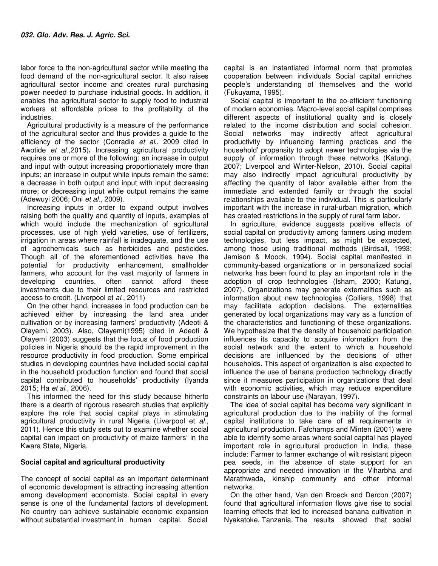labor force to the non-agricultural sector while meeting the food demand of the non-agricultural sector. It also raises agricultural sector income and creates rural purchasing power needed to purchase industrial goods. In addition, it enables the agricultural sector to supply food to industrial workers at affordable prices to the profitability of the industries.

Agricultural productivity is a measure of the performance of the agricultural sector and thus provides a guide to the efficiency of the sector (Conradie et al., 2009 cited in Awotide et al.,2015)**.** Increasing agricultural productivity requires one or more of the following: an increase in output and input with output increasing proportionately more than inputs; an increase in output while inputs remain the same; a decrease in both output and input with input decreasing more; or decreasing input while output remains the same (Adewuyi 2006; Oni et al., 2009).

Increasing inputs in order to expand output involves raising both the quality and quantity of inputs, examples of which would include the mechanization of agricultural processes, use of high yield varieties, use of fertilizers, irrigation in areas where rainfall is inadequate, and the use of agrochemicals such as herbicides and pesticides. Though all of the aforementioned activities have the potential for productivity enhancement, smallholder farmers, who account for the vast majority of farmers in developing countries, often cannot afford these investments due to their limited resources and restricted access to credit. (Liverpool et al., 2011)

On the other hand, increases in food production can be achieved either by increasing the land area under cultivation or by increasing farmers' productivity (Adeoti & Olayemi, 2003). Also, Olayemi(1995) cited in Adeoti & Olayemi (2003) suggests that the focus of food production policies in Nigeria should be the rapid improvement in the resource productivity in food production. Some empirical studies in developing countries have included social capital in the household production function and found that social capital contributed to households' productivity (Iyanda 2015; Ha et al., 2006).

This informed the need for this study because hitherto there is a dearth of rigorous research studies that explicitly explore the role that social capital plays in stimulating agricultural productivity in rural Nigeria (Liverpool et al., 2011). Hence this study sets out to examine whether social capital can impact on productivity of maize farmers' in the Kwara State, Nigeria.

## **Social capital and agricultural productivity**

The concept of social capital as an important determinant of economic development is attracting increasing attention among development economists. Social capital in every sense is one of the fundamental factors of development. No country can achieve sustainable economic expansion without substantial investment in human capital. Social

capital is an instantiated informal norm that promotes cooperation between individuals Social capital enriches people's understanding of themselves and the world (Fukuyama, 1995).

Social capital is important to the co-efficient functioning of modern economies. Macro-level social capital comprises different aspects of institutional quality and is closely related to the income distribution and social cohesion. Social networks may indirectly affect agricultural productivity by influencing farming practices and the household' propensity to adopt newer technologies via the supply of information through these networks (Katungi, 2007; Liverpool and Winter-Nelson, 2010). Social capital may also indirectly impact agricultural productivity by affecting the quantity of labor available either from the immediate and extended family or through the social relationships available to the individual. This is particularly important with the increase in rural-urban migration, which has created restrictions in the supply of rural farm labor.

In agriculture, evidence suggests positive effects of social capital on productivity among farmers using modern technologies, but less impact, as might be expected, among those using traditional methods (Birdsall, 1993; Jamison & Moock, 1994). Social capital manifested in community-based organizations or in personalized social networks has been found to play an important role in the adoption of crop technologies (Isham, 2000; Katungi, 2007). Organizations may generate externalities such as information about new technologies (Colliers, 1998) that may facilitate adoption decisions. The externalities generated by local organizations may vary as a function of the characteristics and functioning of these organizations. We hypothesize that the density of household participation influences its capacity to acquire information from the social network and the extent to which a household decisions are influenced by the decisions of other households. This aspect of organization is also expected to influence the use of banana production technology directly since it measures participation in organizations that deal with economic activities, which may reduce expenditure constraints on labour use (Narayan, 1997).

The idea of social capital has become very significant in agricultural production due to the inability of the formal capital institutions to take care of all requirements in agricultural production. Fafchamps and Minten (2001) were able to identify some areas where social capital has played important role in agricultural production in India, these include: Farmer to farmer exchange of wilt resistant pigeon pea seeds, in the absence of state support for an appropriate and needed innovation in the Viharbha and Marathwada, kinship community and other informal networks.

On the other hand, Van den Broeck and Dercon (2007) found that agricultural information flows give rise to social learning effects that led to increased banana cultivation in Nyakatoke, Tanzania. The results showed that social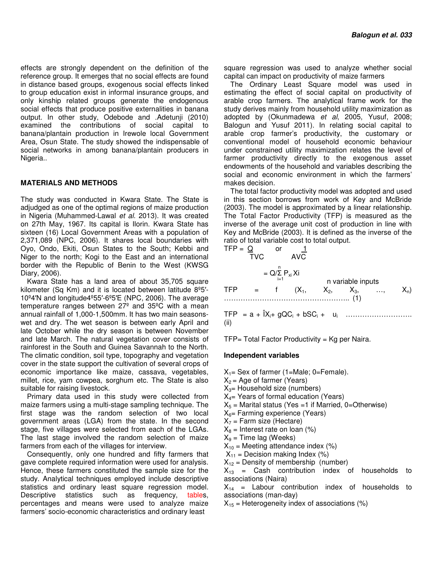effects are strongly dependent on the definition of the reference group. It emerges that no social effects are found in distance based groups, exogenous social effects linked to group education exist in informal insurance groups, and only kinship related groups generate the endogenous social effects that produce positive externalities in banana output. In other study, Odebode and .Adetunji (2010) examined the contributions of social capital to banana/plantain production in Irewole local Government Area, Osun State. The study showed the indispensable of social networks in among banana/plantain producers in Nigeria..

#### **MATERIALS AND METHODS**

The study was conducted in Kwara State. The State is adjudged as one of the optimal regions of maize production in Nigeria (Muhammed-Lawal et al. 2013). It was created on 27th May, 1967. Its capital is Ilorin. Kwara State has sixteen (16) Local Government Areas with a population of 2,371,089 (NPC, 2006). It shares local boundaries with Oyo, Ondo, Ekiti, Osun States to the South; Kebbi and Niger to the north; Kogi to the East and an international border with the Republic of Benin to the West (KWSG Diary, 2006).

Kwara State has a land area of about 35,705 square kilometer (Sq Km) and it is located between latitude 8º5′- 10º4′N and longitude4º55′-6º5′E (NPC, 2006). The average temperature ranges between 27º and 35ºC with a mean annual rainfall of 1,000-1,500mm. It has two main seasonswet and dry. The wet season is between early April and late October while the dry season is between November and late March. The natural vegetation cover consists of rainforest in the South and Guinea Savannah to the North. The climatic condition, soil type, topography and vegetation cover in the state support the cultivation of several crops of economic importance like maize, cassava, vegetables, millet, rice, yam cowpea, sorghum etc. The State is also suitable for raising livestock.

Primary data used in this study were collected from maize farmers using a multi-stage sampling technique. The first stage was the random selection of two local government areas (LGA) from the state. In the second stage, five villages were selected from each of the LGAs. The last stage involved the random selection of maize farmers from each of the villages for interview.

Consequently, only one hundred and fifty farmers that gave complete required information were used for analysis. Hence, these farmers constituted the sample size for the study. Analytical techniques employed include descriptive statistics and ordinary least square regression model. Descriptive statistics such as frequency, tables, percentages and means were used to analyze maize farmers' socio-economic characteristics and ordinary least

square regression was used to analyze whether social capital can impact on productivity of maize farmers

The Ordinary Least Square model was used in estimating the effect of social capital on productivity of arable crop farmers. The analytical frame work for the study derives mainly from household utility maximization as adopted by (Okunmadewa et al, 2005, Yusuf, 2008; Balogun and Yusuf 2011). In relating social capital to arable crop farmer's productivity, the customary or conventional model of household economic behaviour under constrained utility maximization relates the level of farmer productivity directly to the exogenous asset endowments of the household and variables describing the social and economic environment in which the farmers' makes decision.

The total factor productivity model was adopted and used in this section borrows from work of Key and McBride (2003). The model is approximated by a linear relationship. The Total Factor Productivity (TFP) is measured as the inverse of the average unit cost of production in line with Key and McBride (2003). It is defined as the inverse of the ratio of total variable cost to total output.

$$
TFP = \frac{Q}{TVC} \quad or \quad \frac{1}{AVC}
$$
  
=  $Q/\sum_{i=1}^{n} P_{xi} Xi$  *n variable inputs*  
TFP = f (X<sub>1</sub>, X<sub>2</sub>, X<sub>3</sub>, ..., X<sub>n</sub>)  
................. (1)

TFP = a + ÎXi+ gQC<sup>i</sup> + bSC<sup>i</sup> + u<sup>i</sup> ………………………. (ii)

 $TFP = Total Factor Productivity = Kg per Naira.$ 

## **Independent variables**

 $X_1$ = Sex of farmer (1=Male; 0=Female).

- $X_2$  = Age of farmer (Years)
- $X_3$ = Household size (numbers)
- $X_{4}$  Years of formal education (Years)
- $X_5$  = Marital status (Yes =1 if Married, 0=Otherwise)
- $X_6$ = Farming experience (Years)
- $X_7$  = Farm size (Hectare)
- $X_8$  = Interest rate on loan (%)
- $X_9$  = Time lag (Weeks)
- $X_{10}$  = Meeting attendance index (%)
- $X_{11}$  = Decision making Index (%)
- $X_{12}$  = Density of membership (number)

 $X_{13}$  = Cash contribution index of households to associations (Naira)

 $X_{14}$  = Labour contribution index of households to associations (man-day)

 $X_{15}$  = Heterogeneity index of associations (%)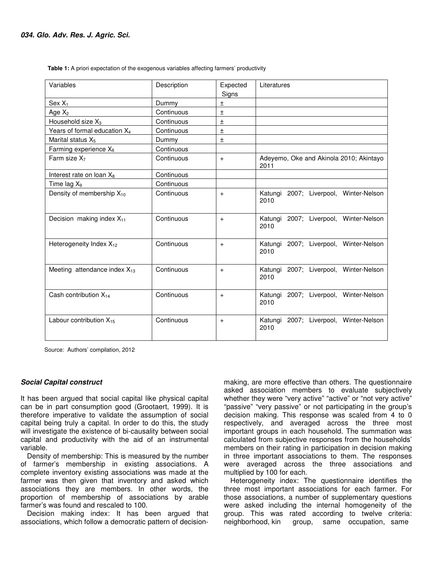| Variables                                | Description | Expected<br>Signs | Literatures                                       |
|------------------------------------------|-------------|-------------------|---------------------------------------------------|
| $Sex X_1$                                | Dummy       | Ŧ                 |                                                   |
| Age $X_2$                                | Continuous  | $\pm$             |                                                   |
| Household size $X_3$                     | Continuous  | $\pm$             |                                                   |
| Years of formal education X <sub>4</sub> | Continuous  | $\pm$             |                                                   |
| Marital status X <sub>5</sub>            | Dummy       | $\pm$             |                                                   |
| Farming experience X6                    | Continuous  |                   |                                                   |
| Farm size $X_7$                          | Continuous  | $+$               | Adeyemo, Oke and Akinola 2010; Akintayo<br>2011   |
| Interest rate on loan X <sub>8</sub>     | Continuous  |                   |                                                   |
| Time lag X <sub>9</sub>                  | Continuous  |                   |                                                   |
| Density of membership X <sub>10</sub>    | Continuous  | $+$               | Katungi<br>2007; Liverpool, Winter-Nelson<br>2010 |
| Decision making index $X_{11}$           | Continuous  | $+$               | 2007; Liverpool, Winter-Nelson<br>Katungi<br>2010 |
| Heterogeneity Index $X_{12}$             | Continuous  | $+$               | Katungi 2007; Liverpool, Winter-Nelson<br>2010    |
| Meeting attendance index $X_{13}$        | Continuous  | $+$               | Katungi 2007; Liverpool, Winter-Nelson<br>2010    |
| Cash contribution $X_{14}$               | Continuous  | $+$               | 2007; Liverpool, Winter-Nelson<br>Katungi<br>2010 |
| Labour contribution $X_{15}$             | Continuous  | $+$               | 2007; Liverpool, Winter-Nelson<br>Katungi<br>2010 |

 **Table 1:** A priori expectation of the exogenous variables affecting farmers' productivity

Source: Authors' compilation, 2012

## **Social Capital construct**

It has been argued that social capital like physical capital can be in part consumption good (Grootaert, 1999). It is therefore imperative to validate the assumption of social capital being truly a capital. In order to do this, the study will investigate the existence of bi-causality between social capital and productivity with the aid of an instrumental variable.

Density of membership: This is measured by the number of farmer's membership in existing associations. A complete inventory existing associations was made at the farmer was then given that inventory and asked which associations they are members. In other words, the proportion of membership of associations by arable farmer's was found and rescaled to 100.

Decision making index: It has been argued that associations, which follow a democratic pattern of decisionmaking, are more effective than others. The questionnaire asked association members to evaluate subjectively whether they were "very active" "active" or "not very active" "passive" "very passive" or not participating in the group's decision making. This response was scaled from 4 to 0 respectively, and averaged across the three most important groups in each household. The summation was calculated from subjective responses from the households' members on their rating in participation in decision making in three important associations to them. The responses were averaged across the three associations and multiplied by 100 for each.

Heterogeneity index: The questionnaire identifies the three most important associations for each farmer. For those associations, a number of supplementary questions were asked including the internal homogeneity of the group. This was rated according to twelve criteria: neighborhood, kin group, same occupation, same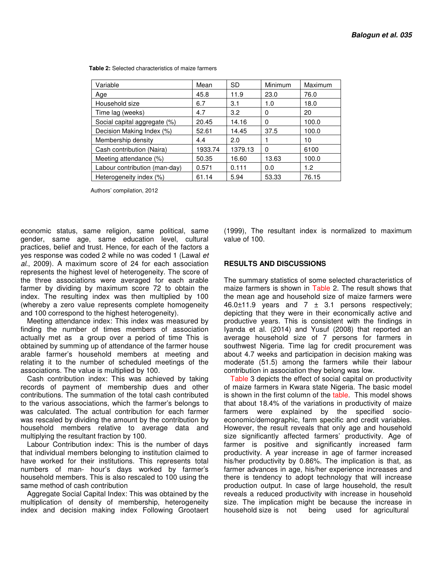| Variable                      | Mean    | <b>SD</b> | Minimum  | <b>Maximum</b> |
|-------------------------------|---------|-----------|----------|----------------|
| Age                           | 45.8    | 11.9      | 23.0     | 76.0           |
| Household size                | 6.7     | 3.1       | 1.0      | 18.0           |
| Time lag (weeks)              | 4.7     | 3.2       | 0        | 20             |
| Social capital aggregate (%)  | 20.45   | 14.16     | $\Omega$ | 100.0          |
| Decision Making Index (%)     | 52.61   | 14.45     | 37.5     | 100.0          |
| Membership density            | 4.4     | 2.0       |          | 10             |
| Cash contribution (Naira)     | 1933.74 | 1379.13   | $\Omega$ | 6100           |
| Meeting attendance (%)        | 50.35   | 16.60     | 13.63    | 100.0          |
| Labour contribution (man-day) | 0.571   | 0.111     | 0.0      | 1.2            |
| Heterogeneity index (%)       | 61.14   | 5.94      | 53.33    | 76.15          |

 **Table 2:** Selected characteristics of maize farmers

Authors' compilation, 2012

economic status, same religion, same political, same gender, same age, same education level, cultural practices, belief and trust. Hence, for each of the factors a yes response was coded 2 while no was coded 1 (Lawal et al., 2009). A maximum score of 24 for each association represents the highest level of heterogeneity. The score of the three associations were averaged for each arable farmer by dividing by maximum score 72 to obtain the index. The resulting index was then multiplied by 100 (whereby a zero value represents complete homogeneity and 100 correspond to the highest heterogeneity).

Meeting attendance index: This index was measured by finding the number of times members of association actually met as a group over a period of time This is obtained by summing up of attendance of the farmer house arable farmer's household members at meeting and relating it to the number of scheduled meetings of the associations. The value is multiplied by 100.

Cash contribution index: This was achieved by taking records of payment of membership dues and other contributions. The summation of the total cash contributed to the various associations, which the farmer's belongs to was calculated. The actual contribution for each farmer was rescaled by dividing the amount by the contribution by household members relative to average data and multiplying the resultant fraction by 100.

Labour Contribution index: This is the number of days that individual members belonging to institution claimed to have worked for their institutions. This represents total numbers of man- hour's days worked by farmer's household members. This is also rescaled to 100 using the same method of cash contribution

Aggregate Social Capital Index: This was obtained by the multiplication of density of membership, heterogeneity index and decision making index Following Grootaert (1999), The resultant index is normalized to maximum value of 100.

# **RESULTS AND DISCUSSIONS**

The summary statistics of some selected characteristics of maize farmers is shown in Table 2. The result shows that the mean age and household size of maize farmers were 46.0 $\pm$ 11.9 years and 7  $\pm$  3.1 persons respectively; depicting that they were in their economically active and productive years. This is consistent with the findings in Iyanda et al. (2014) and Yusuf (2008) that reported an average household size of 7 persons for farmers in southwest Nigeria. Time lag for credit procurement was about 4.7 weeks and participation in decision making was moderate (51.5) among the farmers while their labour contribution in association they belong was low.

Table 3 depicts the effect of social capital on productivity of maize farmers in Kwara state Nigeria. The basic model is shown in the first column of the table. This model shows that about 18.4% of the variations in productivity of maize farmers were explained by the specified socioeconomic/demographic, farm specific and credit variables. However, the result reveals that only age and household size significantly affected farmers' productivity. Age of farmer is positive and significantly increased farm productivity. A year increase in age of farmer increased his/her productivity by 0.86%. The implication is that, as farmer advances in age, his/her experience increases and there is tendency to adopt technology that will increase production output. In case of large household, the result reveals a reduced productivity with increase in household size. The implication might be because the increase in household size is not being used for agricultural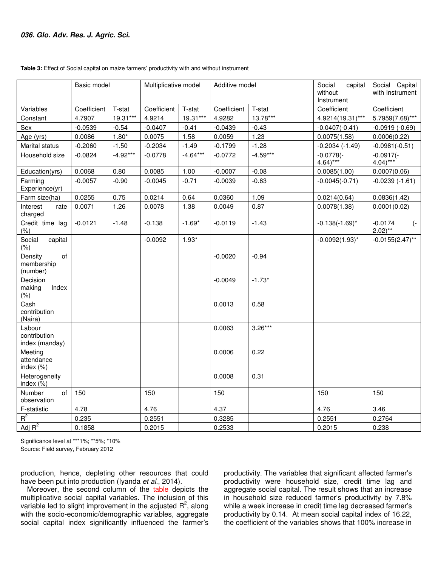|                                          | Basic model |            | Multiplicative model |            | Additive model |            | Social<br>capital<br>without<br>Instrument | Social Capital<br>with Instrument         |
|------------------------------------------|-------------|------------|----------------------|------------|----------------|------------|--------------------------------------------|-------------------------------------------|
| Variables                                | Coefficient | T-stat     | Coefficient          | T-stat     | Coefficient    | T-stat     | Coefficient                                | Coefficient                               |
| Constant                                 | 4.7907      | 19.31***   | 4.9214               | 19.31***   | 4.9282         | $13.78***$ | 4.9214(19.31)***                           | 5.7959(7.68)***                           |
| Sex                                      | $-0.0539$   | $-0.54$    | $-0.0407$            | $-0.41$    | $-0.0439$      | $-0.43$    | $-0.0407(-0.41)$                           | $-0.0919(-0.69)$                          |
| Age (yrs)                                | 0.0086      | $1.80*$    | 0.0075               | 1.58       | 0.0059         | 1.23       | 0.0075(1.58)                               | 0.0006(0.22)                              |
| Marital status                           | $-0.2060$   | $-1.50$    | $-0.2034$            | $-1.49$    | $-0.1799$      | $-1.28$    | $-0.2034$ $(-1.49)$                        | $-0.0981(-0.51)$                          |
| Household size                           | $-0.0824$   | $-4.92***$ | $-0.0778$            | $-4.64***$ | $-0.0772$      | $-4.59***$ | $-0.0778(-$<br>$4.64$ <sup>***</sup>       | $-0.0917(-$<br>$4.04$ <sup>***</sup>      |
| Education(yrs)                           | 0.0068      | 0.80       | 0.0085               | 1.00       | $-0.0007$      | $-0.08$    | 0.0085(1.00)                               | 0.0007(0.06)                              |
| Farming<br>Experience(yr)                | $-0.0057$   | $-0.90$    | $-0.0045$            | $-0.71$    | $-0.0039$      | $-0.63$    | $-0.0045(-0.71)$                           | $-0.0239(-1.61)$                          |
| Farm size(ha)                            | 0.0255      | 0.75       | 0.0214               | 0.64       | 0.0360         | 1.09       | 0.0214(0.64)                               | 0.0836(1.42)                              |
| Interest<br>rate<br>charged              | 0.0071      | 1.26       | 0.0078               | 1.38       | 0.0049         | 0.87       | 0.0078(1.38)                               | 0.0001(0.02)                              |
| Credit time lag<br>(% )                  | $-0.0121$   | $-1.48$    | $-0.138$             | $-1.69*$   | $-0.0119$      | $-1.43$    | $-0.138(-1.69)^{*}$                        | $-0.0174$<br>$(-$<br>$2.02$ <sup>**</sup> |
| Social<br>capital<br>(% )                |             |            | $-0.0092$            | $1.93*$    |                |            | $-0.0092(1.93)^{*}$                        | $-0.0155(2.47)$ **                        |
| of<br>Density<br>membership<br>(number)  |             |            |                      |            | $-0.0020$      | $-0.94$    |                                            |                                           |
| Decision<br>making<br>Index<br>(% )      |             |            |                      |            | $-0.0049$      | $-1.73*$   |                                            |                                           |
| Cash<br>contribution<br>(Naira)          |             |            |                      |            | 0.0013         | 0.58       |                                            |                                           |
| Labour<br>contribution<br>index (manday) |             |            |                      |            | 0.0063         | $3.26***$  |                                            |                                           |
| Meeting<br>attendance<br>index (%)       |             |            |                      |            | 0.0006         | 0.22       |                                            |                                           |
| Heterogeneity<br>index (%)               |             |            |                      |            | 0.0008         | 0.31       |                                            |                                           |
| Number<br>of<br>observation              | 150         |            | 150                  |            | 150            |            | 150                                        | 150                                       |
| F-statistic                              | 4.78        |            | 4.76                 |            | 4.37           |            | 4.76                                       | 3.46                                      |
| $R^2$                                    | 0.235       |            | 0.2551               |            | 0.3285         |            | 0.2551                                     | 0.2764                                    |
| Adj $R^2$                                | 0.1858      |            | 0.2015               |            | 0.2533         |            | 0.2015                                     | 0.238                                     |

#### **Table 3:** Effect of Social capital on maize farmers' productivity with and without instrument

Significance level at \*\*\*1%; \*\*5%; \*10% Source: Field survey, February 2012

production, hence, depleting other resources that could have been put into production (Iyanda et al., 2014).

Moreover, the second column of the table depicts the multiplicative social capital variables. The inclusion of this variable led to slight improvement in the adjusted  $R^2$ , along with the socio-economic/demographic variables, aggregate social capital index significantly influenced the farmer's

productivity. The variables that significant affected farmer's productivity were household size, credit time lag and aggregate social capital. The result shows that an increase in household size reduced farmer's productivity by 7.8% while a week increase in credit time lag decreased farmer's productivity by 0.14. At mean social capital index of 16.22, the coefficient of the variables shows that 100% increase in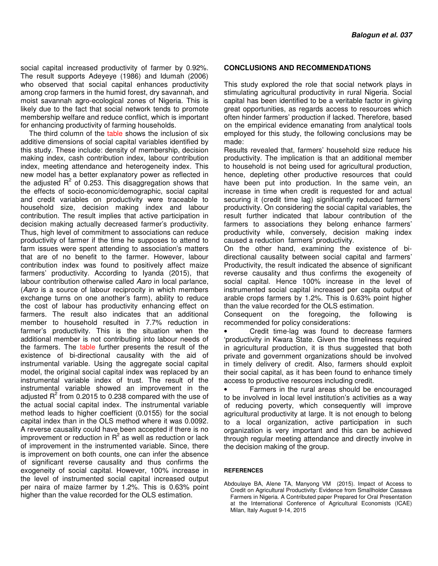social capital increased productivity of farmer by 0.92%. The result supports Adeyeye (1986) and Idumah (2006) who observed that social capital enhances productivity among crop farmers in the humid forest, dry savannah, and moist savannah agro-ecological zones of Nigeria. This is likely due to the fact that social network tends to promote membership welfare and reduce conflict, which is important for enhancing productivity of farming households.

The third column of the table shows the inclusion of six additive dimensions of social capital variables identified by this study. These include: density of membership, decision making index, cash contribution index, labour contribution index, meeting attendance and heterogeneity index. This new model has a better explanatory power as reflected in the adjusted  $R^2$  of 0.253. This disaggregation shows that the effects of socio-economic/demographic, social capital and credit variables on productivity were traceable to household size, decision making index and labour contribution. The result implies that active participation in decision making actually decreased farmer's productivity. Thus, high level of commitment to associations can reduce productivity of farmer if the time he supposes to attend to farm issues were spent attending to association's matters that are of no benefit to the farmer. However, labour contribution index was found to positively affect maize farmers' productivity. According to Iyanda (2015), that labour contribution otherwise called Aaro in local parlance, (Aaro is a source of labour reciprocity in which members exchange turns on one another's farm), ability to reduce the cost of labour has productivity enhancing effect on farmers. The result also indicates that an additional member to household resulted in 7.7% reduction in farmer's productivity. This is the situation when the additional member is not contributing into labour needs of the farmers. The table further presents the result of the existence of bi-directional causality with the aid of instrumental variable. Using the aggregate social capital model, the original social capital index was replaced by an instrumental variable index of trust. The result of the instrumental variable showed an improvement in the adjusted  $R^2$  from 0.2015 to 0.238 compared with the use of the actual social capital index. The instrumental variable method leads to higher coefficient (0.0155) for the social capital index than in the OLS method where it was 0.0092. A reverse causality could have been accepted if there is no improvement or reduction in  $R^2$  as well as reduction or lack of improvement in the instrumented variable. Since, there is improvement on both counts, one can infer the absence of significant reverse causality and thus confirms the exogeneity of social capital. However, 100% increase in the level of instrumented social capital increased output per naira of maize farmer by 1.2%. This is 0.63% point higher than the value recorded for the OLS estimation.

#### **CONCLUSIONS AND RECOMMENDATIONS**

This study explored the role that social network plays in stimulating agricultural productivity in rural Nigeria. Social capital has been identified to be a veritable factor in giving great opportunities, as regards access to resources which often hinder farmers' production if lacked. Therefore, based on the empirical evidence emanating from analytical tools employed for this study, the following conclusions may be made:

Results revealed that, farmers' household size reduce his productivity. The implication is that an additional member to household is not being used for agricultural production, hence, depleting other productive resources that could have been put into production. In the same vein, an increase in time when credit is requested for and actual securing it (credit time lag) significantly reduced farmers' productivity. On considering the social capital variables, the result further indicated that labour contribution of the farmers to associations they belong enhance farmers' productivity while, conversely, decision making index caused a reduction farmers' productivity.

On the other hand, examining the existence of bidirectional causality between social capital and farmers' Productivity, the result indicated the absence of significant reverse causality and thus confirms the exogeneity of social capital. Hence 100% increase in the level of instrumented social capital increased per capita output of arable crops farmers by 1.2%. This is 0.63% point higher than the value recorded for the OLS estimation.

Consequent on the foregoing, the following is recommended for policy considerations:

• Credit time-lag was found to decrease farmers 'productivity in Kwara State. Given the timeliness required in agricultural production, it is thus suggested that both private and government organizations should be involved in timely delivery of credit. Also, farmers should exploit their social capital, as it has been found to enhance timely access to productive resources including credit.

• Farmers in the rural areas should be encouraged to be involved in local level institution's activities as a way of reducing poverty, which consequently will improve agricultural productivity at large. It is not enough to belong to a local organization, active participation in such organization is very important and this can be achieved through regular meeting attendance and directly involve in the decision making of the group.

#### **REFERENCES**

Abdoulaye BA, Alene TA, Manyong VM (2015). Impact of Access to Credit on Agricultural Productivity: Evidence from Smallholder Cassava Farmers in Nigeria. A Contributed paper Prepared for Oral Presentation at the International Conference of Agricultural Economists (ICAE) Milan, Italy August 9-14, 2015